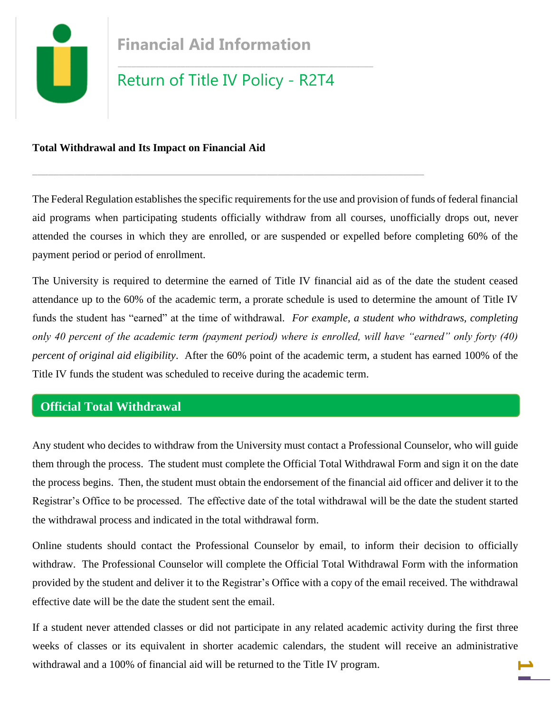

## **Total Withdrawal and Its Impact on Financial Aid**

The Federal Regulation establishes the specific requirements for the use and provision of funds of federal financial aid programs when participating students officially withdraw from all courses, unofficially drops out, never attended the courses in which they are enrolled, or are suspended or expelled before completing 60% of the payment period or period of enrollment.

**\_\_\_\_\_\_\_\_\_\_\_\_\_\_\_\_\_\_\_\_\_\_\_\_\_\_\_\_\_\_\_\_\_\_\_\_\_\_\_\_\_\_\_\_\_\_\_\_\_\_\_\_\_\_\_\_\_\_\_\_\_\_\_\_\_\_\_\_\_\_\_\_\_\_\_**

The University is required to determine the earned of Title IV financial aid as of the date the student ceased attendance up to the 60% of the academic term, a prorate schedule is used to determine the amount of Title IV funds the student has "earned" at the time of withdrawal*. For example, a student who withdraws, completing only 40 percent of the academic term (payment period) where is enrolled, will have "earned" only forty (40) percent of original aid eligibility*. After the 60% point of the academic term, a student has earned 100% of the Title IV funds the student was scheduled to receive during the academic term.

# **Official Total Withdrawal**

Any student who decides to withdraw from the University must contact a Professional Counselor, who will guide them through the process. The student must complete the Official Total Withdrawal Form and sign it on the date the process begins. Then, the student must obtain the endorsement of the financial aid officer and deliver it to the Registrar's Office to be processed. The effective date of the total withdrawal will be the date the student started the withdrawal process and indicated in the total withdrawal form.

Online students should contact the Professional Counselor by email, to inform their decision to officially withdraw. The Professional Counselor will complete the Official Total Withdrawal Form with the information provided by the student and deliver it to the Registrar's Office with a copy of the email received. The withdrawal effective date will be the date the student sent the email.

**1** If a student never attended classes or did not participate in any related academic activity during the first three weeks of classes or its equivalent in shorter academic calendars, the student will receive an administrative withdrawal and a 100% of financial aid will be returned to the Title IV program.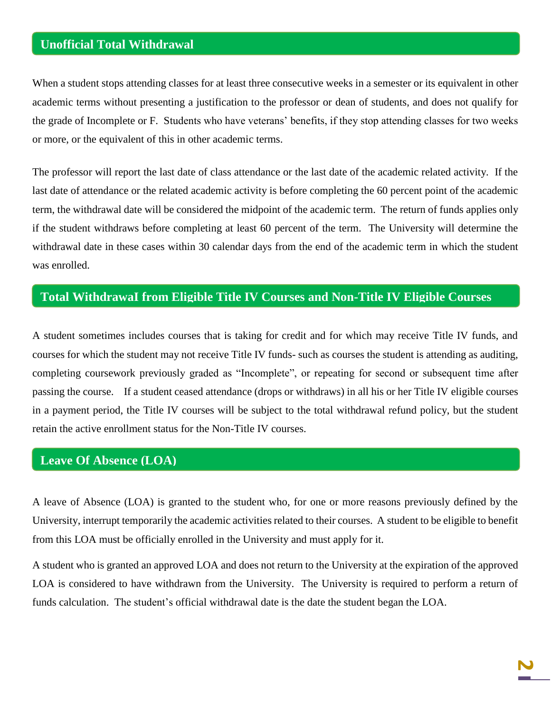# **Unofficial Total Withdrawal**

When a student stops attending classes for at least three consecutive weeks in a semester or its equivalent in other academic terms without presenting a justification to the professor or dean of students, and does not qualify for the grade of Incomplete or F. Students who have veterans' benefits, if they stop attending classes for two weeks or more, or the equivalent of this in other academic terms.

The professor will report the last date of class attendance or the last date of the academic related activity. If the last date of attendance or the related academic activity is before completing the 60 percent point of the academic term, the withdrawal date will be considered the midpoint of the academic term. The return of funds applies only if the student withdraws before completing at least 60 percent of the term. The University will determine the withdrawal date in these cases within 30 calendar days from the end of the academic term in which the student was enrolled.

### **Total WithdrawaI from Eligible Title IV Courses and Non-Title IV Eligible Courses**

A student sometimes includes courses that is taking for credit and for which may receive Title IV funds, and courses for which the student may not receive Title IV funds- such as courses the student is attending as auditing, completing coursework previously graded as "Incomplete", or repeating for second or subsequent time after passing the course. If a student ceased attendance (drops or withdraws) in all his or her Title IV eligible courses in a payment period, the Title IV courses will be subject to the total withdrawal refund policy, but the student retain the active enrollment status for the Non-Title IV courses.

# **Leave Of Absence (LOA)**

A leave of Absence (LOA) is granted to the student who, for one or more reasons previously defined by the University, interrupt temporarily the academic activities related to their courses. A student to be eligible to benefit from this LOA must be officially enrolled in the University and must apply for it.

A student who is granted an approved LOA and does not return to the University at the expiration of the approved LOA is considered to have withdrawn from the University. The University is required to perform a return of funds calculation. The student's official withdrawal date is the date the student began the LOA.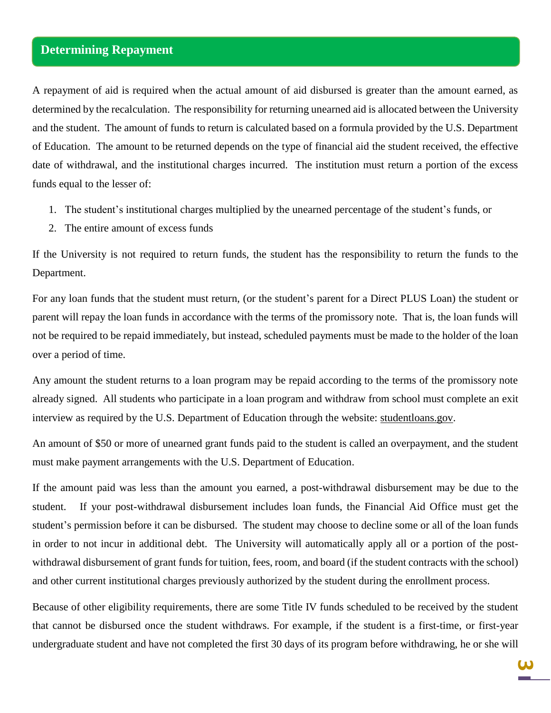## **Determining Repayment**

A repayment of aid is required when the actual amount of aid disbursed is greater than the amount earned, as determined by the recalculation. The responsibility for returning unearned aid is allocated between the University and the student. The amount of funds to return is calculated based on a formula provided by the U.S. Department of Education. The amount to be returned depends on the type of financial aid the student received, the effective date of withdrawal, and the institutional charges incurred. The institution must return a portion of the excess funds equal to the lesser of:

- 1. The student's institutional charges multiplied by the unearned percentage of the student's funds, or
- 2. The entire amount of excess funds

If the University is not required to return funds, the student has the responsibility to return the funds to the Department.

For any loan funds that the student must return, (or the student's parent for a Direct PLUS Loan) the student or parent will repay the loan funds in accordance with the terms of the promissory note. That is, the loan funds will not be required to be repaid immediately, but instead, scheduled payments must be made to the holder of the loan over a period of time.

Any amount the student returns to a loan program may be repaid according to the terms of the promissory note already signed. All students who participate in a loan program and withdraw from school must complete an exit interview as required by the U.S. Department of Education through the website: studentloans.gov.

An amount of \$50 or more of unearned grant funds paid to the student is called an overpayment, and the student must make payment arrangements with the U.S. Department of Education.

If the amount paid was less than the amount you earned, a post-withdrawal disbursement may be due to the student. If your post-withdrawal disbursement includes loan funds, the Financial Aid Office must get the student's permission before it can be disbursed. The student may choose to decline some or all of the loan funds in order to not incur in additional debt. The University will automatically apply all or a portion of the postwithdrawal disbursement of grant funds for tuition, fees, room, and board (if the student contracts with the school) and other current institutional charges previously authorized by the student during the enrollment process.

Because of other eligibility requirements, there are some Title IV funds scheduled to be received by the student that cannot be disbursed once the student withdraws. For example, if the student is a first-time, or first-year undergraduate student and have not completed the first 30 days of its program before withdrawing, he or she will